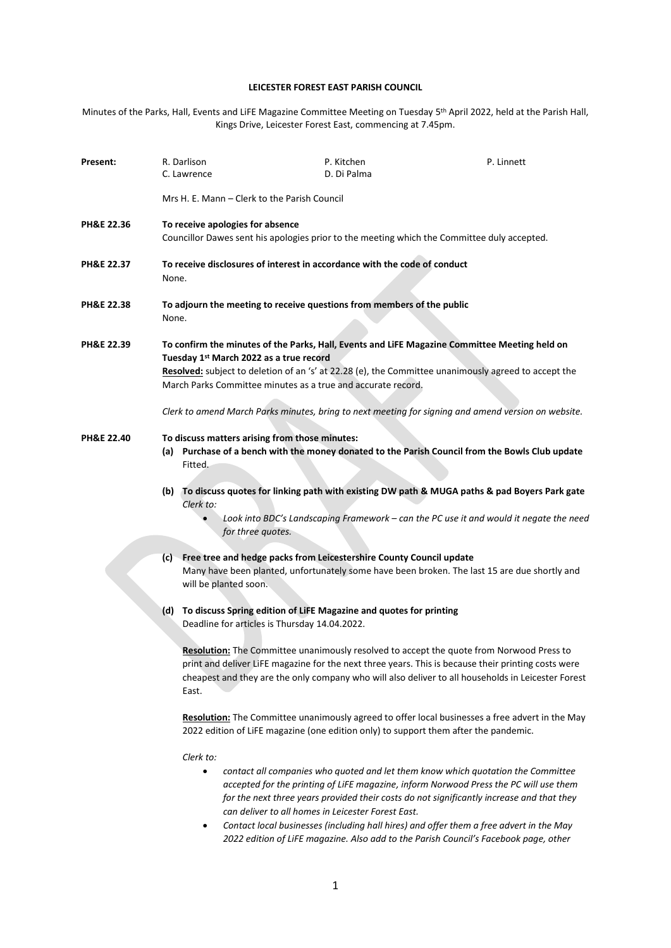# **LEICESTER FOREST EAST PARISH COUNCIL**

Minutes of the Parks, Hall, Events and LiFE Magazine Committee Meeting on Tuesday 5<sup>th</sup> April 2022, held at the Parish Hall, Kings Drive, Leicester Forest East, commencing at 7.45pm.

| Present:              | R. Darlison<br>C. Lawrence                                                                                                                                                                                                                                                                      | P. Kitchen<br>D. Di Palma                                                                                                                                                                                                                                                                                                                                                                                                                                                                                                                         | P. Linnett |  |
|-----------------------|-------------------------------------------------------------------------------------------------------------------------------------------------------------------------------------------------------------------------------------------------------------------------------------------------|---------------------------------------------------------------------------------------------------------------------------------------------------------------------------------------------------------------------------------------------------------------------------------------------------------------------------------------------------------------------------------------------------------------------------------------------------------------------------------------------------------------------------------------------------|------------|--|
|                       | Mrs H. E. Mann – Clerk to the Parish Council                                                                                                                                                                                                                                                    |                                                                                                                                                                                                                                                                                                                                                                                                                                                                                                                                                   |            |  |
| PH&E 22.36            | To receive apologies for absence<br>Councillor Dawes sent his apologies prior to the meeting which the Committee duly accepted.                                                                                                                                                                 |                                                                                                                                                                                                                                                                                                                                                                                                                                                                                                                                                   |            |  |
| PH&E 22.37            | To receive disclosures of interest in accordance with the code of conduct<br>None.                                                                                                                                                                                                              |                                                                                                                                                                                                                                                                                                                                                                                                                                                                                                                                                   |            |  |
| <b>PH&amp;E 22.38</b> | To adjourn the meeting to receive questions from members of the public<br>None.                                                                                                                                                                                                                 |                                                                                                                                                                                                                                                                                                                                                                                                                                                                                                                                                   |            |  |
| PH&E 22.39            |                                                                                                                                                                                                                                                                                                 | To confirm the minutes of the Parks, Hall, Events and LiFE Magazine Committee Meeting held on<br>Tuesday 1st March 2022 as a true record<br>Resolved: subject to deletion of an 's' at 22.28 (e), the Committee unanimously agreed to accept the<br>March Parks Committee minutes as a true and accurate record.<br>Clerk to amend March Parks minutes, bring to next meeting for signing and amend version on website.                                                                                                                           |            |  |
| PH&E 22.40            | To discuss matters arising from those minutes:<br>Fitted.<br>Clerk to:                                                                                                                                                                                                                          | (a) Purchase of a bench with the money donated to the Parish Council from the Bowls Club update<br>(b) To discuss quotes for linking path with existing DW path & MUGA paths & pad Boyers Park gate<br>Look into BDC's Landscaping Framework - can the PC use it and would it negate the need                                                                                                                                                                                                                                                     |            |  |
|                       | for three quotes.<br>(c) Free tree and hedge packs from Leicestershire County Council update<br>Many have been planted, unfortunately some have been broken. The last 15 are due shortly and<br>will be planted soon.<br>(d) To discuss Spring edition of LiFE Magazine and quotes for printing |                                                                                                                                                                                                                                                                                                                                                                                                                                                                                                                                                   |            |  |
|                       | East.<br>Clerk to:                                                                                                                                                                                                                                                                              | Deadline for articles is Thursday 14.04.2022.<br>Resolution: The Committee unanimously resolved to accept the quote from Norwood Press to<br>print and deliver LiFE magazine for the next three years. This is because their printing costs were<br>cheapest and they are the only company who will also deliver to all households in Leicester Forest<br>Resolution: The Committee unanimously agreed to offer local businesses a free advert in the May<br>2022 edition of LiFE magazine (one edition only) to support them after the pandemic. |            |  |
|                       | $\bullet$<br>$\bullet$                                                                                                                                                                                                                                                                          | contact all companies who quoted and let them know which quotation the Committee<br>accepted for the printing of LiFE magazine, inform Norwood Press the PC will use them<br>for the next three years provided their costs do not significantly increase and that they<br>can deliver to all homes in Leicester Forest East.<br>Contact local businesses (including hall hires) and offer them a free advert in the May                                                                                                                           |            |  |

*2022 edition of LiFE magazine. Also add to the Parish Council's Facebook page, other*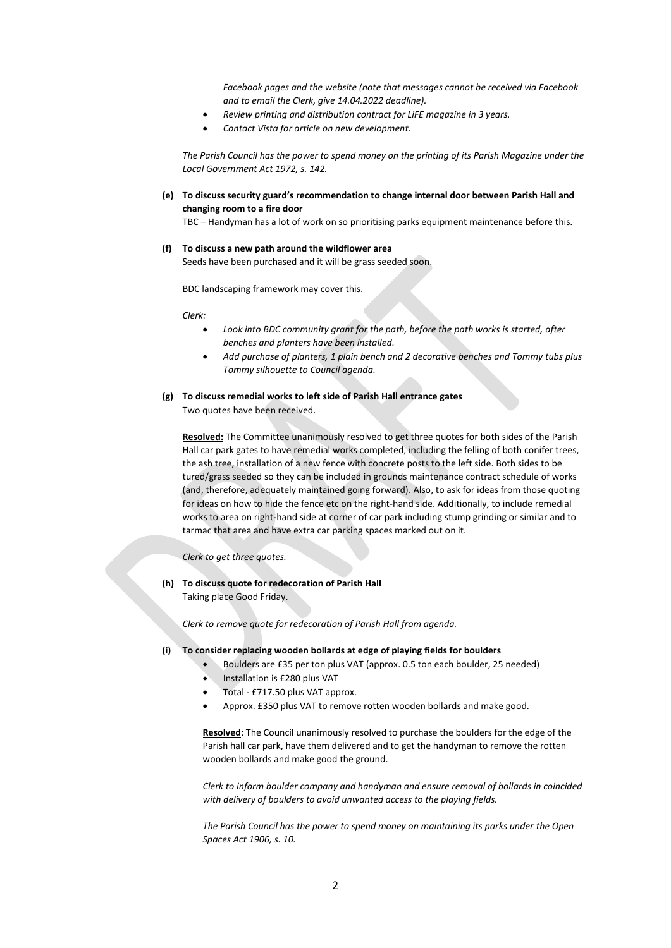*Facebook pages and the website (note that messages cannot be received via Facebook and to email the Clerk, give 14.04.2022 deadline).*

- *Review printing and distribution contract for LiFE magazine in 3 years.*
- *Contact Vista for article on new development.*

*The Parish Council has the power to spend money on the printing of its Parish Magazine under the Local Government Act 1972, s. 142.*

### **(e) To discuss security guard's recommendation to change internal door between Parish Hall and changing room to a fire door**

TBC – Handyman has a lot of work on so prioritising parks equipment maintenance before this.

## **(f) To discuss a new path around the wildflower area**

Seeds have been purchased and it will be grass seeded soon.

BDC landscaping framework may cover this.

*Clerk:*

- *Look into BDC community grant for the path, before the path works is started, after benches and planters have been installed.*
- *Add purchase of planters, 1 plain bench and 2 decorative benches and Tommy tubs plus Tommy silhouette to Council agenda.*

### **(g) To discuss remedial works to left side of Parish Hall entrance gates** Two quotes have been received.

**Resolved:** The Committee unanimously resolved to get three quotes for both sides of the Parish Hall car park gates to have remedial works completed, including the felling of both conifer trees, the ash tree, installation of a new fence with concrete posts to the left side. Both sides to be tured/grass seeded so they can be included in grounds maintenance contract schedule of works (and, therefore, adequately maintained going forward). Also, to ask for ideas from those quoting for ideas on how to hide the fence etc on the right-hand side. Additionally, to include remedial works to area on right-hand side at corner of car park including stump grinding or similar and to tarmac that area and have extra car parking spaces marked out on it.

*Clerk to get three quotes.*

**(h) To discuss quote for redecoration of Parish Hall**

Taking place Good Friday.

*Clerk to remove quote for redecoration of Parish Hall from agenda.*

#### **(i) To consider replacing wooden bollards at edge of playing fields for boulders**

- Boulders are £35 per ton plus VAT (approx. 0.5 ton each boulder, 25 needed)
	- Installation is £280 plus VAT
- Total £717.50 plus VAT approx.
- Approx. £350 plus VAT to remove rotten wooden bollards and make good.

**Resolved**: The Council unanimously resolved to purchase the boulders for the edge of the Parish hall car park, have them delivered and to get the handyman to remove the rotten wooden bollards and make good the ground.

*Clerk to inform boulder company and handyman and ensure removal of bollards in coincided with delivery of boulders to avoid unwanted access to the playing fields.*

*The Parish Council has the power to spend money on maintaining its parks under the Open Spaces Act 1906, s. 10.*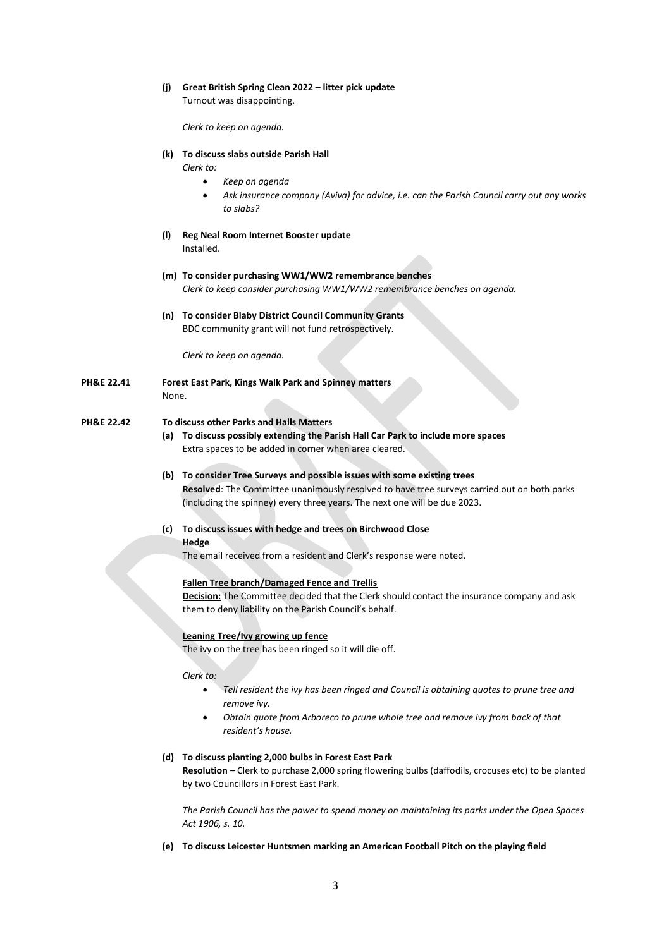### **(j) Great British Spring Clean 2022 – litter pick update**

Turnout was disappointing.

*Clerk to keep on agenda.*

### **(k) To discuss slabs outside Parish Hall**

*Clerk to:*

- *Keep on agenda*
- *Ask insurance company (Aviva) for advice, i.e. can the Parish Council carry out any works to slabs?*
- **(l) Reg Neal Room Internet Booster update** Installed.
- **(m) To consider purchasing WW1/WW2 remembrance benches** *Clerk to keep consider purchasing WW1/WW2 remembrance benches on agenda.*
- **(n) To consider Blaby District Council Community Grants** BDC community grant will not fund retrospectively.

*Clerk to keep on agenda.*

**PH&E 22.41 Forest East Park, Kings Walk Park and Spinney matters** None.

### **PH&E 22.42 To discuss other Parks and Halls Matters**

- **(a) To discuss possibly extending the Parish Hall Car Park to include more spaces** Extra spaces to be added in corner when area cleared.
- **(b) To consider Tree Surveys and possible issues with some existing trees Resolved**: The Committee unanimously resolved to have tree surveys carried out on both parks (including the spinney) every three years. The next one will be due 2023.
- **(c) To discuss issues with hedge and trees on Birchwood Close Hedge**

The email received from a resident and Clerk's response were noted.

#### **Fallen Tree branch/Damaged Fence and Trellis**

**Decision:** The Committee decided that the Clerk should contact the insurance company and ask them to deny liability on the Parish Council's behalf.

#### **Leaning Tree/Ivy growing up fence**

The ivy on the tree has been ringed so it will die off.

*Clerk to:*

- *Tell resident the ivy has been ringed and Council is obtaining quotes to prune tree and remove ivy.*
- *Obtain quote from Arboreco to prune whole tree and remove ivy from back of that resident's house.*

### **(d) To discuss planting 2,000 bulbs in Forest East Park**

**Resolution** *–* Clerk to purchase 2,000 spring flowering bulbs (daffodils, crocuses etc) to be planted by two Councillors in Forest East Park.

*The Parish Council has the power to spend money on maintaining its parks under the Open Spaces Act 1906, s. 10.*

**(e) To discuss Leicester Huntsmen marking an American Football Pitch on the playing field**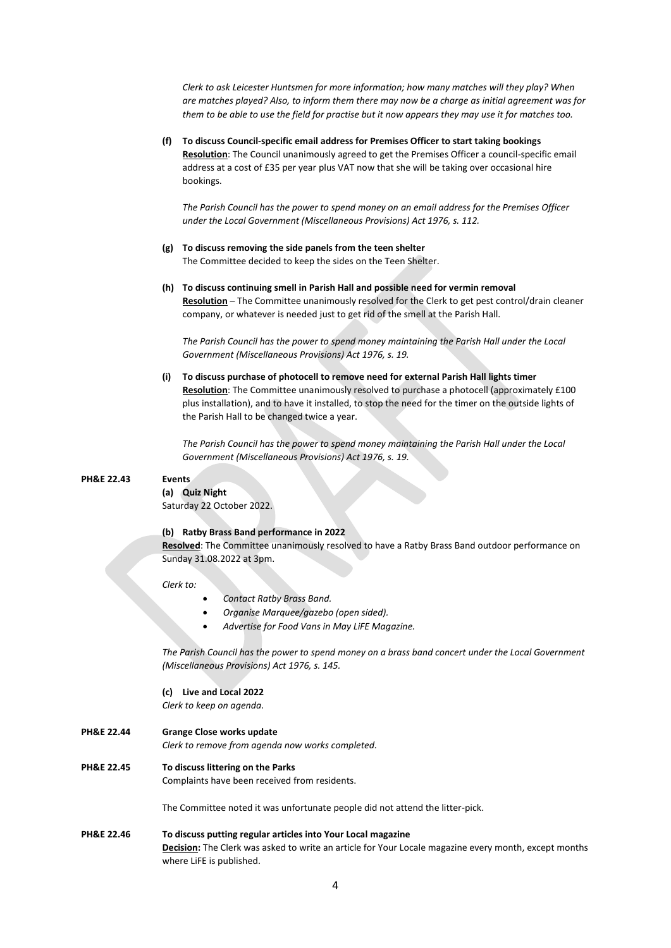*Clerk to ask Leicester Huntsmen for more information; how many matches will they play? When are matches played? Also, to inform them there may now be a charge as initial agreement was for them to be able to use the field for practise but it now appears they may use it for matches too.*

**(f) To discuss Council-specific email address for Premises Officer to start taking bookings Resolution**: The Council unanimously agreed to get the Premises Officer a council-specific email address at a cost of £35 per year plus VAT now that she will be taking over occasional hire bookings.

*The Parish Council has the power to spend money on an email address for the Premises Officer under the Local Government (Miscellaneous Provisions) Act 1976, s. 112.*

- **(g) To discuss removing the side panels from the teen shelter** The Committee decided to keep the sides on the Teen Shelter.
- **(h) To discuss continuing smell in Parish Hall and possible need for vermin removal Resolution** – The Committee unanimously resolved for the Clerk to get pest control/drain cleaner company, or whatever is needed just to get rid of the smell at the Parish Hall.

*The Parish Council has the power to spend money maintaining the Parish Hall under the Local Government (Miscellaneous Provisions) Act 1976, s. 19.*

**(i) To discuss purchase of photocell to remove need for external Parish Hall lights timer Resolution**: The Committee unanimously resolved to purchase a photocell (approximately £100 plus installation), and to have it installed, to stop the need for the timer on the outside lights of the Parish Hall to be changed twice a year.

*The Parish Council has the power to spend money maintaining the Parish Hall under the Local Government (Miscellaneous Provisions) Act 1976, s. 19.*

#### **PH&E 22.43 Events**

**(a) Quiz Night** Saturday 22 October 2022.

#### **(b) Ratby Brass Band performance in 2022**

**Resolved**: The Committee unanimously resolved to have a Ratby Brass Band outdoor performance on Sunday 31.08.2022 at 3pm.

*Clerk to:*

- *Contact Ratby Brass Band.*
- *Organise Marquee/gazebo (open sided).*
- *Advertise for Food Vans in May LiFE Magazine.*

*The Parish Council has the power to spend money on a brass band concert under the Local Government (Miscellaneous Provisions) Act 1976, s. 145.*

#### **(c) Live and Local 2022**

*Clerk to keep on agenda.*

**PH&E 22.44 Grange Close works update**

*Clerk to remove from agenda now works completed.*

## **PH&E 22.45 To discuss littering on the Parks**

Complaints have been received from residents.

The Committee noted it was unfortunate people did not attend the litter-pick.

**PH&E 22.46 To discuss putting regular articles into Your Local magazine Decision:** The Clerk was asked to write an article for Your Locale magazine every month, except months where LiFE is published.